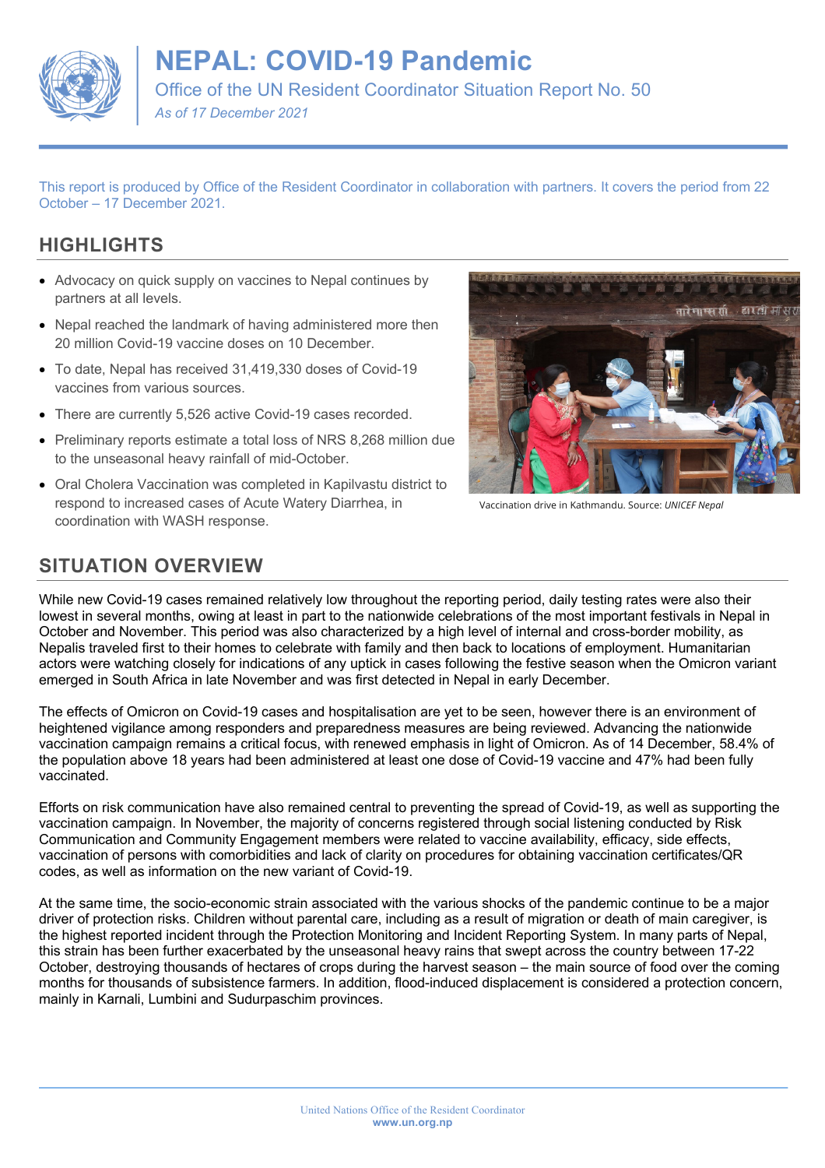

# **NEPAL: COVID-19 Pandemic**

Office of the UN Resident Coordinator Situation Report No. 50

*As of 17 December 2021*

This report is produced by Office of the Resident Coordinator in collaboration with partners. It covers the period from 22 October – 17 December 2021.

## **HIGHLIGHTS**

- Advocacy on quick supply on vaccines to Nepal continues by partners at all levels.
- Nepal reached the landmark of having administered more then 20 million Covid-19 vaccine doses on 10 December.
- To date, Nepal has received 31,419,330 doses of Covid-19 vaccines from various sources.
- There are currently 5,526 active Covid-19 cases recorded.
- Preliminary reports estimate a total loss of NRS 8,268 million due to the unseasonal heavy rainfall of mid-October.
- Oral Cholera Vaccination was completed in Kapilvastu district to respond to increased cases of Acute Watery Diarrhea, in coordination with WASH response.



Vaccination drive in Kathmandu. Source: *UNICEF Nepal*

## **SITUATION OVERVIEW**

While new Covid-19 cases remained relatively low throughout the reporting period, daily testing rates were also their lowest in several months, owing at least in part to the nationwide celebrations of the most important festivals in Nepal in October and November. This period was also characterized by a high level of internal and cross-border mobility, as Nepalis traveled first to their homes to celebrate with family and then back to locations of employment. Humanitarian actors were watching closely for indications of any uptick in cases following the festive season when the Omicron variant emerged in South Africa in late November and was first detected in Nepal in early December.

The effects of Omicron on Covid-19 cases and hospitalisation are yet to be seen, however there is an environment of heightened vigilance among responders and preparedness measures are being reviewed. Advancing the nationwide vaccination campaign remains a critical focus, with renewed emphasis in light of Omicron. As of 14 December, 58.4% of the population above 18 years had been administered at least one dose of Covid-19 vaccine and 47% had been fully vaccinated.

Efforts on risk communication have also remained central to preventing the spread of Covid-19, as well as supporting the vaccination campaign. In November, the majority of concerns registered through social listening conducted by Risk Communication and Community Engagement members were related to vaccine availability, efficacy, side effects, vaccination of persons with comorbidities and lack of clarity on procedures for obtaining vaccination certificates/QR codes, as well as information on the new variant of Covid-19.

At the same time, the socio-economic strain associated with the various shocks of the pandemic continue to be a major driver of protection risks. Children without parental care, including as a result of migration or death of main caregiver, is the highest reported incident through the Protection Monitoring and Incident Reporting System. In many parts of Nepal, this strain has been further exacerbated by the unseasonal heavy rains that swept across the country between 17-22 October, destroying thousands of hectares of crops during the harvest season – the main source of food over the coming months for thousands of subsistence farmers. In addition, flood-induced displacement is considered a protection concern, mainly in Karnali, Lumbini and Sudurpaschim provinces.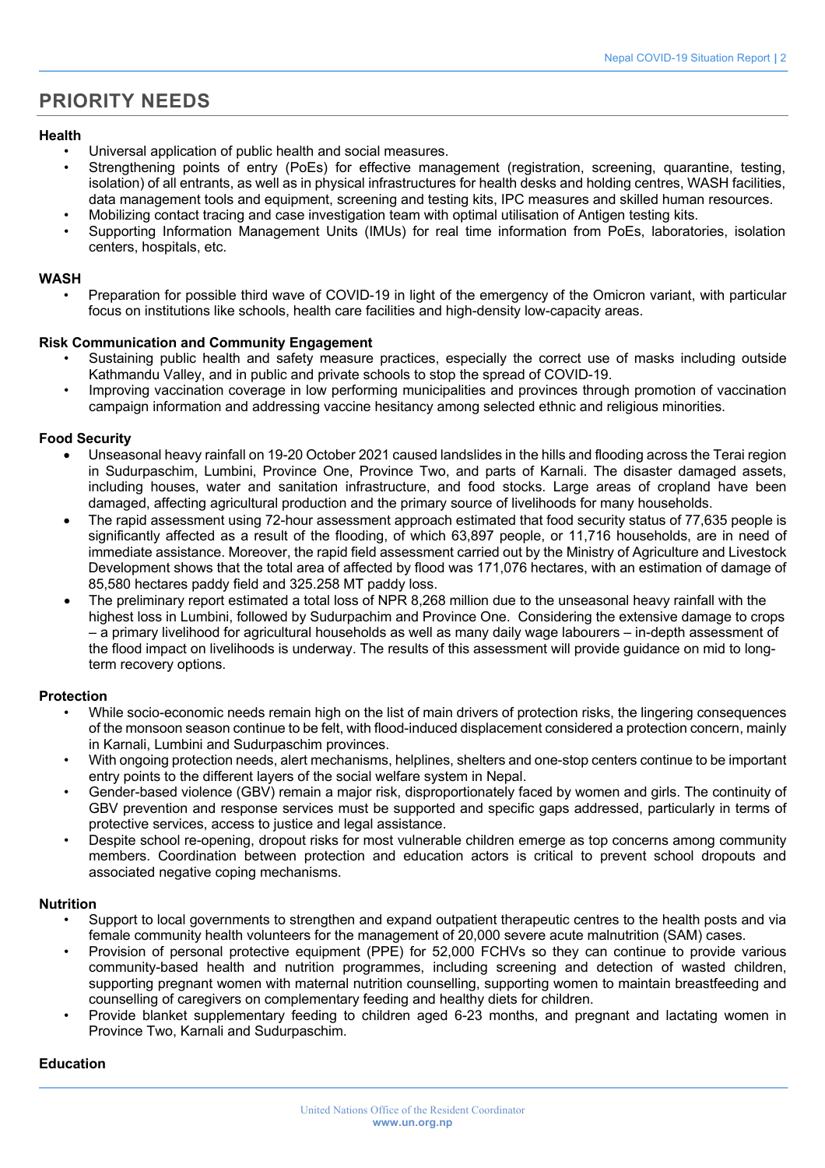## **PRIORITY NEEDS**

#### **Health**

- Universal application of public health and social measures.
- Strengthening points of entry (PoEs) for effective management (registration, screening, quarantine, testing, isolation) of all entrants, as well as in physical infrastructures for health desks and holding centres, WASH facilities, data management tools and equipment, screening and testing kits, IPC measures and skilled human resources.
- Mobilizing contact tracing and case investigation team with optimal utilisation of Antigen testing kits.
- Supporting Information Management Units (IMUs) for real time information from PoEs, laboratories, isolation centers, hospitals, etc.

### **WASH**

• Preparation for possible third wave of COVID-19 in light of the emergency of the Omicron variant, with particular focus on institutions like schools, health care facilities and high-density low-capacity areas.

### **Risk Communication and Community Engagement**

- Sustaining public health and safety measure practices, especially the correct use of masks including outside Kathmandu Valley, and in public and private schools to stop the spread of COVID-19.
- Improving vaccination coverage in low performing municipalities and provinces through promotion of vaccination campaign information and addressing vaccine hesitancy among selected ethnic and religious minorities.

### **Food Security**

- Unseasonal heavy rainfall on 19-20 October 2021 caused landslides in the hills and flooding across the Terai region in Sudurpaschim, Lumbini, Province One, Province Two, and parts of Karnali. The disaster damaged assets, including houses, water and sanitation infrastructure, and food stocks. Large areas of cropland have been damaged, affecting agricultural production and the primary source of livelihoods for many households.
- The rapid assessment using 72-hour assessment approach estimated that food security status of 77,635 people is significantly affected as a result of the flooding, of which 63,897 people, or 11,716 households, are in need of immediate assistance. Moreover, the rapid field assessment carried out by the Ministry of Agriculture and Livestock Development shows that the total area of affected by flood was 171,076 hectares, with an estimation of damage of 85,580 hectares paddy field and 325.258 MT paddy loss.
- The preliminary report estimated a total loss of NPR 8,268 million due to the unseasonal heavy rainfall with the highest loss in Lumbini, followed by Sudurpachim and Province One. Considering the extensive damage to crops – a primary livelihood for agricultural households as well as many daily wage labourers – in-depth assessment of the flood impact on livelihoods is underway. The results of this assessment will provide guidance on mid to longterm recovery options.

## **Protection**

- While socio-economic needs remain high on the list of main drivers of protection risks, the lingering consequences of the monsoon season continue to be felt, with flood-induced displacement considered a protection concern, mainly in Karnali, Lumbini and Sudurpaschim provinces.
- With ongoing protection needs, alert mechanisms, helplines, shelters and one-stop centers continue to be important entry points to the different layers of the social welfare system in Nepal.
- Gender-based violence (GBV) remain a major risk, disproportionately faced by women and girls. The continuity of GBV prevention and response services must be supported and specific gaps addressed, particularly in terms of protective services, access to justice and legal assistance.
- Despite school re-opening, dropout risks for most vulnerable children emerge as top concerns among community members. Coordination between protection and education actors is critical to prevent school dropouts and associated negative coping mechanisms.

#### **Nutrition**

- Support to local governments to strengthen and expand outpatient therapeutic centres to the health posts and via female community health volunteers for the management of 20,000 severe acute malnutrition (SAM) cases.
- Provision of personal protective equipment (PPE) for 52,000 FCHVs so they can continue to provide various community-based health and nutrition programmes, including screening and detection of wasted children, supporting pregnant women with maternal nutrition counselling, supporting women to maintain breastfeeding and counselling of caregivers on complementary feeding and healthy diets for children.
- Provide blanket supplementary feeding to children aged 6-23 months, and pregnant and lactating women in Province Two, Karnali and Sudurpaschim.

## **Education**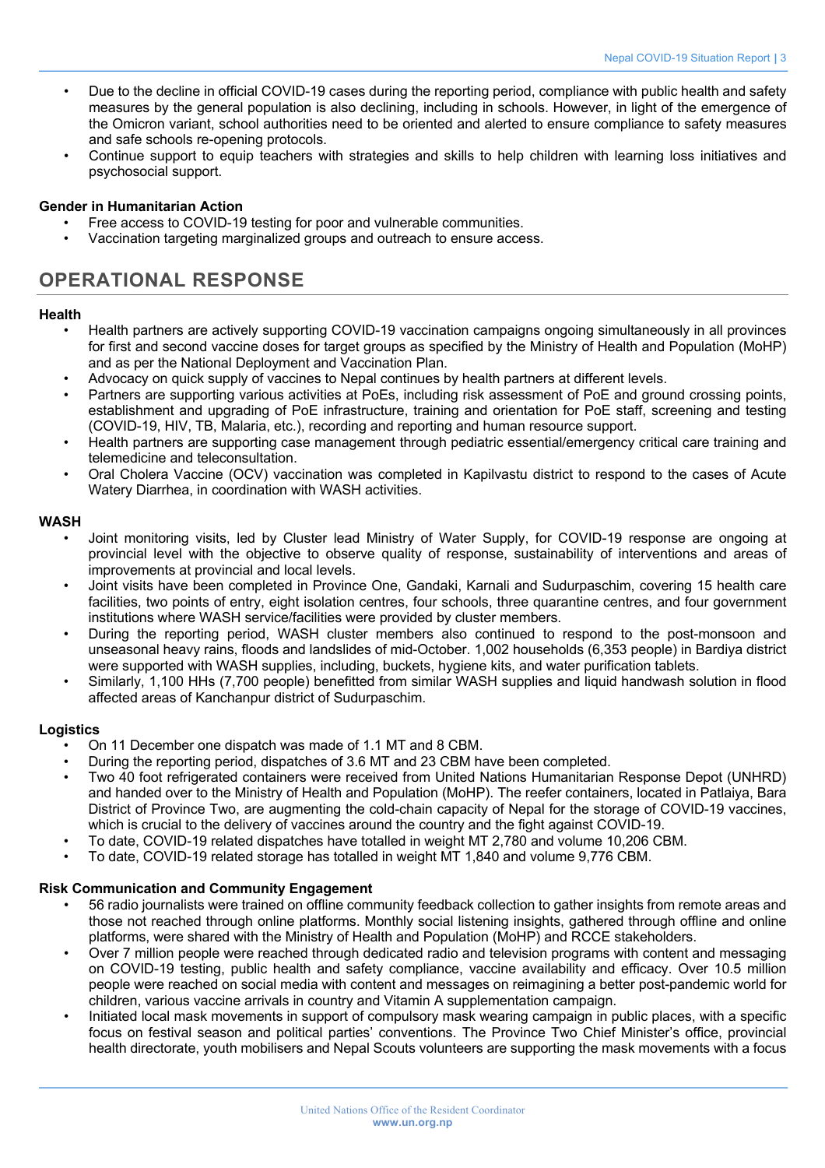- Due to the decline in official COVID-19 cases during the reporting period, compliance with public health and safety measures by the general population is also declining, including in schools. However, in light of the emergence of the Omicron variant, school authorities need to be oriented and alerted to ensure compliance to safety measures and safe schools re-opening protocols.
- Continue support to equip teachers with strategies and skills to help children with learning loss initiatives and psychosocial support.

## **Gender in Humanitarian Action**

- Free access to COVID-19 testing for poor and vulnerable communities.
- Vaccination targeting marginalized groups and outreach to ensure access.

## **OPERATIONAL RESPONSE**

#### **Health**

- Health partners are actively supporting COVID-19 vaccination campaigns ongoing simultaneously in all provinces for first and second vaccine doses for target groups as specified by the Ministry of Health and Population (MoHP) and as per the National Deployment and Vaccination Plan.
- Advocacy on quick supply of vaccines to Nepal continues by health partners at different levels.
- Partners are supporting various activities at PoEs, including risk assessment of PoE and ground crossing points, establishment and upgrading of PoE infrastructure, training and orientation for PoE staff, screening and testing (COVID-19, HIV, TB, Malaria, etc.), recording and reporting and human resource support.
- Health partners are supporting case management through pediatric essential/emergency critical care training and telemedicine and teleconsultation.
- Oral Cholera Vaccine (OCV) vaccination was completed in Kapilvastu district to respond to the cases of Acute Watery Diarrhea, in coordination with WASH activities.

### **WASH**

- Joint monitoring visits, led by Cluster lead Ministry of Water Supply, for COVID-19 response are ongoing at provincial level with the objective to observe quality of response, sustainability of interventions and areas of improvements at provincial and local levels.
- Joint visits have been completed in Province One, Gandaki, Karnali and Sudurpaschim, covering 15 health care facilities, two points of entry, eight isolation centres, four schools, three quarantine centres, and four government institutions where WASH service/facilities were provided by cluster members.
- During the reporting period, WASH cluster members also continued to respond to the post-monsoon and unseasonal heavy rains, floods and landslides of mid-October. 1,002 households (6,353 people) in Bardiya district were supported with WASH supplies, including, buckets, hygiene kits, and water purification tablets.
- Similarly, 1,100 HHs (7,700 people) benefitted from similar WASH supplies and liquid handwash solution in flood affected areas of Kanchanpur district of Sudurpaschim.

#### **Logistics**

- On 11 December one dispatch was made of 1.1 MT and 8 CBM.
- During the reporting period, dispatches of 3.6 MT and 23 CBM have been completed.
- Two 40 foot refrigerated containers were received from United Nations Humanitarian Response Depot (UNHRD) and handed over to the Ministry of Health and Population (MoHP). The reefer containers, located in Patlaiya, Bara District of Province Two, are augmenting the cold-chain capacity of Nepal for the storage of COVID-19 vaccines, which is crucial to the delivery of vaccines around the country and the fight against COVID-19.
- To date, COVID-19 related dispatches have totalled in weight MT 2,780 and volume 10,206 CBM.
- To date, COVID-19 related storage has totalled in weight MT 1,840 and volume 9,776 CBM.

## **Risk Communication and Community Engagement**

- 56 radio journalists were trained on offline community feedback collection to gather insights from remote areas and those not reached through online platforms. Monthly social listening insights, gathered through offline and online platforms, were shared with the Ministry of Health and Population (MoHP) and RCCE stakeholders.
- Over 7 million people were reached through dedicated radio and television programs with content and messaging on COVID-19 testing, public health and safety compliance, vaccine availability and efficacy. Over 10.5 million people were reached on social media with content and messages on reimagining a better post-pandemic world for children, various vaccine arrivals in country and Vitamin A supplementation campaign.
- Initiated local mask movements in support of compulsory mask wearing campaign in public places, with a specific focus on festival season and political parties' conventions. The Province Two Chief Minister's office, provincial health directorate, youth mobilisers and Nepal Scouts volunteers are supporting the mask movements with a focus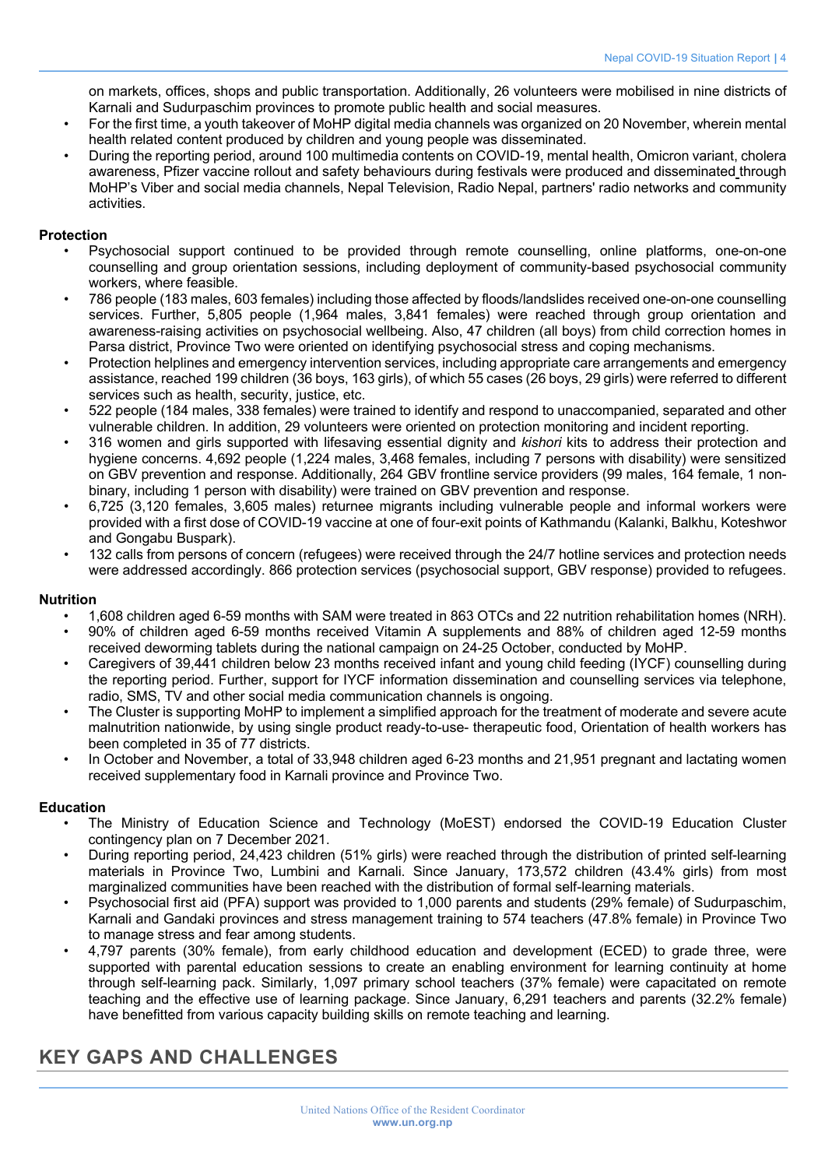on markets, offices, shops and public transportation. Additionally, 26 volunteers were mobilised in nine districts of Karnali and Sudurpaschim provinces to promote public health and social measures.

- For the first time, a youth takeover of MoHP digital media channels was organized on 20 November, wherein mental health related content produced by children and young people was disseminated.
- During the reporting period, around 100 multimedia contents on COVID-19, mental health, Omicron variant, cholera awareness, Pfizer vaccine rollout and safety behaviours during festivals were produced and disseminated through MoHP's Viber and social media channels, Nepal Television, Radio Nepal, partners' radio networks and community activities.

## **Protection**

- Psychosocial support continued to be provided through remote counselling, online platforms, one-on-one counselling and group orientation sessions, including deployment of community-based psychosocial community workers, where feasible.
- 786 people (183 males, 603 females) including those affected by floods/landslides received one-on-one counselling services. Further, 5,805 people (1,964 males, 3,841 females) were reached through group orientation and awareness-raising activities on psychosocial wellbeing. Also, 47 children (all boys) from child correction homes in Parsa district, Province Two were oriented on identifying psychosocial stress and coping mechanisms.
- Protection helplines and emergency intervention services, including appropriate care arrangements and emergency assistance, reached 199 children (36 boys, 163 girls), of which 55 cases (26 boys, 29 girls) were referred to different services such as health, security, justice, etc.
- 522 people (184 males, 338 females) were trained to identify and respond to unaccompanied, separated and other vulnerable children. In addition, 29 volunteers were oriented on protection monitoring and incident reporting.
- 316 women and girls supported with lifesaving essential dignity and *kishori* kits to address their protection and hygiene concerns. 4,692 people (1,224 males, 3,468 females, including 7 persons with disability) were sensitized on GBV prevention and response. Additionally, 264 GBV frontline service providers (99 males, 164 female, 1 nonbinary, including 1 person with disability) were trained on GBV prevention and response.
- 6,725 (3,120 females, 3,605 males) returnee migrants including vulnerable people and informal workers were provided with a first dose of COVID-19 vaccine at one of four-exit points of Kathmandu (Kalanki, Balkhu, Koteshwor and Gongabu Buspark).
- 132 calls from persons of concern (refugees) were received through the 24/7 hotline services and protection needs were addressed accordingly. 866 protection services (psychosocial support, GBV response) provided to refugees.

## **Nutrition**

- 1,608 children aged 6-59 months with SAM were treated in 863 OTCs and 22 nutrition rehabilitation homes (NRH).
- 90% of children aged 6-59 months received Vitamin A supplements and 88% of children aged 12-59 months received deworming tablets during the national campaign on 24-25 October, conducted by MoHP.
- Caregivers of 39,441 children below 23 months received infant and young child feeding (IYCF) counselling during the reporting period. Further, support for IYCF information dissemination and counselling services via telephone, radio, SMS, TV and other social media communication channels is ongoing.
- The Cluster is supporting MoHP to implement a simplified approach for the treatment of moderate and severe acute malnutrition nationwide, by using single product ready-to-use- therapeutic food, Orientation of health workers has been completed in 35 of 77 districts.
- In October and November, a total of 33,948 children aged 6-23 months and 21,951 pregnant and lactating women received supplementary food in Karnali province and Province Two.

## **Education**

- The Ministry of Education Science and Technology (MoEST) endorsed the COVID-19 Education Cluster contingency plan on 7 December 2021.
- During reporting period, 24,423 children (51% girls) were reached through the distribution of printed self-learning materials in Province Two, Lumbini and Karnali. Since January, 173,572 children (43.4% girls) from most marginalized communities have been reached with the distribution of formal self-learning materials.
- Psychosocial first aid (PFA) support was provided to 1,000 parents and students (29% female) of Sudurpaschim, Karnali and Gandaki provinces and stress management training to 574 teachers (47.8% female) in Province Two to manage stress and fear among students.
- 4,797 parents (30% female), from early childhood education and development (ECED) to grade three, were supported with parental education sessions to create an enabling environment for learning continuity at home through self-learning pack. Similarly, 1,097 primary school teachers (37% female) were capacitated on remote teaching and the effective use of learning package. Since January, 6,291 teachers and parents (32.2% female) have benefitted from various capacity building skills on remote teaching and learning.

## **KEY GAPS AND CHALLENGES**